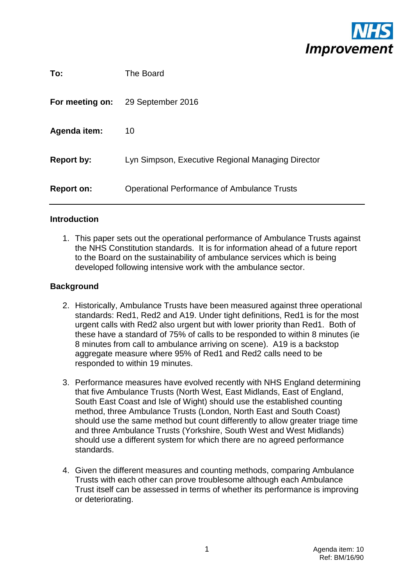

| To:               | The Board                                          |
|-------------------|----------------------------------------------------|
| For meeting on:   | 29 September 2016                                  |
| Agenda item:      | 10                                                 |
| <b>Report by:</b> | Lyn Simpson, Executive Regional Managing Director  |
| <b>Report on:</b> | <b>Operational Performance of Ambulance Trusts</b> |

#### **Introduction**

1. This paper sets out the operational performance of Ambulance Trusts against the NHS Constitution standards. It is for information ahead of a future report to the Board on the sustainability of ambulance services which is being developed following intensive work with the ambulance sector.

## **Background**

- 2. Historically, Ambulance Trusts have been measured against three operational standards: Red1, Red2 and A19. Under tight definitions, Red1 is for the most urgent calls with Red2 also urgent but with lower priority than Red1. Both of these have a standard of 75% of calls to be responded to within 8 minutes (ie 8 minutes from call to ambulance arriving on scene). A19 is a backstop aggregate measure where 95% of Red1 and Red2 calls need to be responded to within 19 minutes.
- 3. Performance measures have evolved recently with NHS England determining that five Ambulance Trusts (North West, East Midlands, East of England, South East Coast and Isle of Wight) should use the established counting method, three Ambulance Trusts (London, North East and South Coast) should use the same method but count differently to allow greater triage time and three Ambulance Trusts (Yorkshire, South West and West Midlands) should use a different system for which there are no agreed performance standards.
- 4. Given the different measures and counting methods, comparing Ambulance Trusts with each other can prove troublesome although each Ambulance Trust itself can be assessed in terms of whether its performance is improving or deteriorating.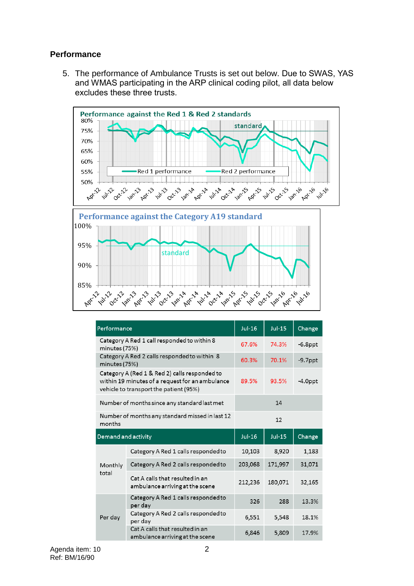## **Performance**

5. The performance of Ambulance Trusts is set out below. Due to SWAS, YAS and WMAS participating in the ARP clinical coding pilot, all data below excludes these three trusts.



| Performance         |                                                                                                                                            | $Jul-16$ | $Jul-15$   | Change     |  |  |
|---------------------|--------------------------------------------------------------------------------------------------------------------------------------------|----------|------------|------------|--|--|
| minutes (75%)       | Category A Red 1 call responded to within 8                                                                                                | 67.6%    | $-6.8$ ppt |            |  |  |
| minutes (75%)       | Category A Red 2 calls responded to within 8                                                                                               | 60.3%    | $-9.7$ ppt |            |  |  |
|                     | Category A (Red 1 & Red 2) calls responded to<br>within 19 minutes of a request for an ambulance<br>vehicle to transport the patient (95%) | 89.5%    | 93.5%      | $-4.0$ ppt |  |  |
|                     | Number of months since any standard last met                                                                                               | 14       |            |            |  |  |
| months              | Number of months any standard missed in last 12                                                                                            | 12       |            |            |  |  |
| Demand and activity |                                                                                                                                            |          |            |            |  |  |
|                     |                                                                                                                                            | Jul-16   | $Jul-15$   | Change     |  |  |
|                     | Category A Red 1 calls responded to                                                                                                        | 10,103   | 8,920      | 1,183      |  |  |
| Monthly             | Category A Red 2 calls responded to                                                                                                        | 203,068  | 171,997    | 31,071     |  |  |
| total               | Cat A calls that resulted in an<br>ambulance arriving at the scene                                                                         | 212,236  | 180,071    | 32,165     |  |  |
|                     | Category A Red 1 calls responded to<br>per day                                                                                             | 326      | 288        | 13.3%      |  |  |
| Per day             | Category A Red 2 calls responded to<br>per day                                                                                             | 6,551    | 5,548      | 18.1%      |  |  |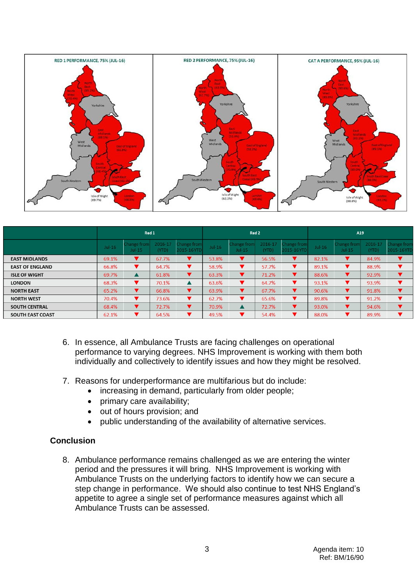

|                        | Red 1    |                         |                  |                           | Red 2    |                         |                  |                                   | A19      |                         |                  |                           |
|------------------------|----------|-------------------------|------------------|---------------------------|----------|-------------------------|------------------|-----------------------------------|----------|-------------------------|------------------|---------------------------|
|                        | $Jul-16$ | Change from<br>$Jul-15$ | 2016-17<br>(YTD) | Change from<br>2015-16YTD | $Jul-16$ | Change from<br>$Jul-15$ | 2016-17<br>(YTD) | <b>Change from</b><br>2015-16 YTD | $Jul-16$ | Change from<br>$Jul-15$ | 2016-17<br>(YTD) | Change from<br>2015-16YTD |
| <b>EAST MIDLANDS</b>   | 69.1%    |                         | 67.7%            | v                         | 53.8%    | v                       | 56.5%            |                                   | 82.1%    |                         | 84.9%            |                           |
| <b>EAST OF ENGLAND</b> | 66.8%    | ▼                       | 64.7%            | v                         | 58.9%    | v                       | 57.7%            |                                   | 89.1%    |                         | 88.9%            |                           |
| <b>ISLE OF WIGHT</b>   | 69.7%    |                         | 61.8%            | ▼                         | 63.3%    | v                       | 71.2%            |                                   | 88.6%    |                         | 92.9%            |                           |
| <b>LONDON</b>          | 68.3%    | ▼                       | 70.1%            | $\blacktriangle$          | 63.6%    | v                       | 64.7%            |                                   | 93.1%    |                         | 93.9%            |                           |
| <b>NORTH EAST</b>      | 65.2%    | ▾                       | 66.8%            | v                         | 63.9%    | v                       | 67.7%            | ▼                                 | 90.6%    |                         | 91.8%            |                           |
| <b>NORTH WEST</b>      | 70.4%    | v                       | 73.6%            | ▼                         | 62.7%    | v                       | 65.6%            |                                   | 89.8%    |                         | 91.2%            |                           |
| <b>SOUTH CENTRAL</b>   | 68.4%    | v                       | 72.7%            | $\blacktriangledown$      | 70.9%    | ▲                       | 72.7%            | 7                                 | 93.0%    |                         | 94.6%            |                           |
| SOUTH EAST COAST       | 62.1%    | ▼                       | 64.5%            | ▼                         | 49.5%    | ▼                       | 54.4%            | ┳                                 | 88.0%    |                         | 89.9%            |                           |

- 6. In essence, all Ambulance Trusts are facing challenges on operational performance to varying degrees. NHS Improvement is working with them both individually and collectively to identify issues and how they might be resolved.
- 7. Reasons for underperformance are multifarious but do include:
	- increasing in demand, particularly from older people;
	- primary care availability;
	- out of hours provision; and
	- public understanding of the availability of alternative services.

## **Conclusion**

8. Ambulance performance remains challenged as we are entering the winter period and the pressures it will bring. NHS Improvement is working with Ambulance Trusts on the underlying factors to identify how we can secure a step change in performance. We should also continue to test NHS England's appetite to agree a single set of performance measures against which all Ambulance Trusts can be assessed.